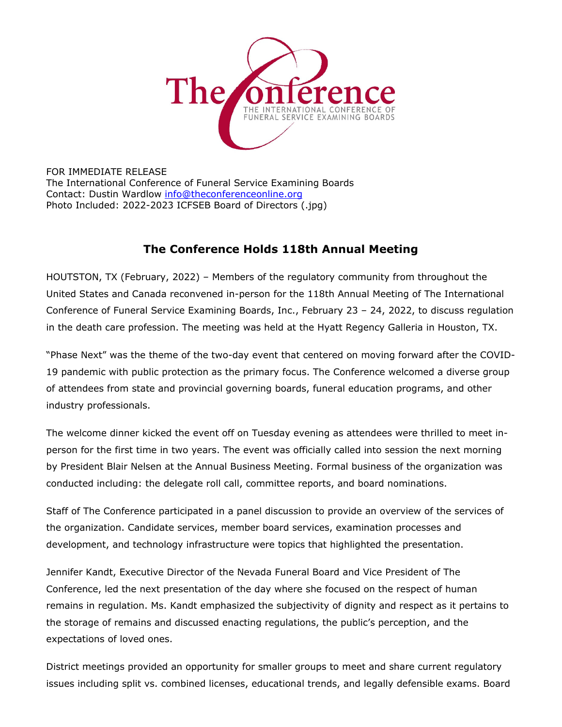

FOR IMMEDIATE RELEASE The International Conference of Funeral Service Examining Boards Contact: Dustin Wardlow info@theconferenceonline.org Photo Included: 2022-2023 ICFSEB Board of Directors (.jpg)

## **The Conference Holds 118th Annual Meeting**

HOUTSTON, TX (February, 2022) – Members of the regulatory community from throughout the United States and Canada reconvened in-person for the 118th Annual Meeting of The International Conference of Funeral Service Examining Boards, Inc., February 23 – 24, 2022, to discuss regulation in the death care profession. The meeting was held at the Hyatt Regency Galleria in Houston, TX.

"Phase Next" was the theme of the two-day event that centered on moving forward after the COVID-19 pandemic with public protection as the primary focus. The Conference welcomed a diverse group of attendees from state and provincial governing boards, funeral education programs, and other industry professionals.

The welcome dinner kicked the event off on Tuesday evening as attendees were thrilled to meet inperson for the first time in two years. The event was officially called into session the next morning by President Blair Nelsen at the Annual Business Meeting. Formal business of the organization was conducted including: the delegate roll call, committee reports, and board nominations.

Staff of The Conference participated in a panel discussion to provide an overview of the services of the organization. Candidate services, member board services, examination processes and development, and technology infrastructure were topics that highlighted the presentation.

Jennifer Kandt, Executive Director of the Nevada Funeral Board and Vice President of The Conference, led the next presentation of the day where she focused on the respect of human remains in regulation. Ms. Kandt emphasized the subjectivity of dignity and respect as it pertains to the storage of remains and discussed enacting regulations, the public's perception, and the expectations of loved ones.

District meetings provided an opportunity for smaller groups to meet and share current regulatory issues including split vs. combined licenses, educational trends, and legally defensible exams. Board